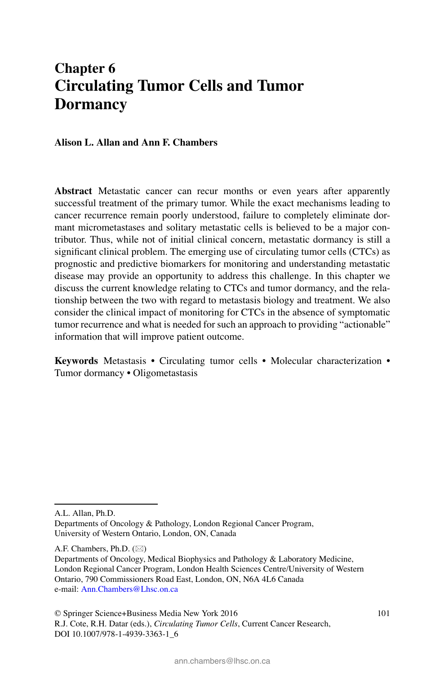# **Chapter 6 Circulating Tumor Cells and Tumor Dormancy**

#### **Alison L. Allan and Ann F. Chambers**

 **Abstract** Metastatic cancer can recur months or even years after apparently successful treatment of the primary tumor. While the exact mechanisms leading to cancer recurrence remain poorly understood, failure to completely eliminate dormant micrometastases and solitary metastatic cells is believed to be a major contributor. Thus, while not of initial clinical concern, metastatic dormancy is still a significant clinical problem. The emerging use of circulating tumor cells  $(CTCs)$  as prognostic and predictive biomarkers for monitoring and understanding metastatic disease may provide an opportunity to address this challenge. In this chapter we discuss the current knowledge relating to CTCs and tumor dormancy, and the relationship between the two with regard to metastasis biology and treatment. We also consider the clinical impact of monitoring for CTCs in the absence of symptomatic tumor recurrence and what is needed for such an approach to providing "actionable" information that will improve patient outcome.

 **Keywords** Metastasis • Circulating tumor cells • Molecular characterization • Tumor dormancy • Oligometastasis

A.L. Allan, Ph.D.

A.F. Chambers, Ph.D.  $(\boxtimes)$ 

Departments of Oncology & Pathology, London Regional Cancer Program, University of Western Ontario, London, ON, Canada

Departments of Oncology, Medical Biophysics and Pathology & Laboratory Medicine, London Regional Cancer Program , London Health Sciences Centre/University of Western Ontario, 790 Commissioners Road East, London, ON, N6A 4L6 Canada e-mail: [Ann.Chambers@Lhsc.on.ca](mailto:Ann.Chambers@Lhsc.on.ca)

<sup>©</sup> Springer Science+Business Media New York 2016 101 R.J. Cote, R.H. Datar (eds.), *Circulating Tumor Cells*, Current Cancer Research, DOI 10.1007/978-1-4939-3363-1\_6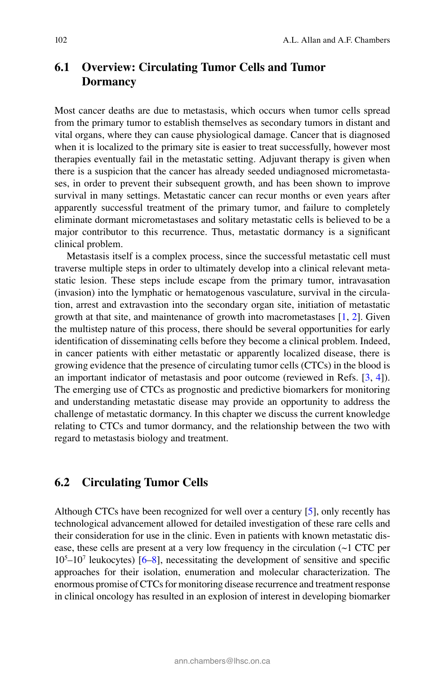# **6.1 Overview: Circulating Tumor Cells and Tumor Dormancy**

 Most cancer deaths are due to metastasis, which occurs when tumor cells spread from the primary tumor to establish themselves as secondary tumors in distant and vital organs, where they can cause physiological damage. Cancer that is diagnosed when it is localized to the primary site is easier to treat successfully, however most therapies eventually fail in the metastatic setting. Adjuvant therapy is given when there is a suspicion that the cancer has already seeded undiagnosed micrometastases, in order to prevent their subsequent growth, and has been shown to improve survival in many settings. Metastatic cancer can recur months or even years after apparently successful treatment of the primary tumor, and failure to completely eliminate dormant micrometastases and solitary metastatic cells is believed to be a major contributor to this recurrence. Thus, metastatic dormancy is a significant clinical problem.

 Metastasis itself is a complex process, since the successful metastatic cell must traverse multiple steps in order to ultimately develop into a clinical relevant metastatic lesion. These steps include escape from the primary tumor, intravasation (invasion) into the lymphatic or hematogenous vasculature, survival in the circulation, arrest and extravastion into the secondary organ site, initiation of metastatic growth at that site, and maintenance of growth into macrometastases  $[1, 2]$ . Given the multistep nature of this process, there should be several opportunities for early identification of disseminating cells before they become a clinical problem. Indeed, in cancer patients with either metastatic or apparently localized disease, there is growing evidence that the presence of circulating tumor cells (CTCs) in the blood is an important indicator of metastasis and poor outcome (reviewed in Refs.  $[3, 4]$ ). The emerging use of CTCs as prognostic and predictive biomarkers for monitoring and understanding metastatic disease may provide an opportunity to address the challenge of metastatic dormancy. In this chapter we discuss the current knowledge relating to CTCs and tumor dormancy, and the relationship between the two with regard to metastasis biology and treatment.

## **6.2 Circulating Tumor Cells**

Although CTCs have been recognized for well over a century  $[5]$ , only recently has technological advancement allowed for detailed investigation of these rare cells and their consideration for use in the clinic. Even in patients with known metastatic disease, these cells are present at a very low frequency in the circulation  $(\sim1$  CTC per  $10<sup>5</sup> - 10<sup>7</sup>$  leukocytes) [6–8], necessitating the development of sensitive and specific approaches for their isolation, enumeration and molecular characterization. The enormous promise of CTCs for monitoring disease recurrence and treatment response in clinical oncology has resulted in an explosion of interest in developing biomarker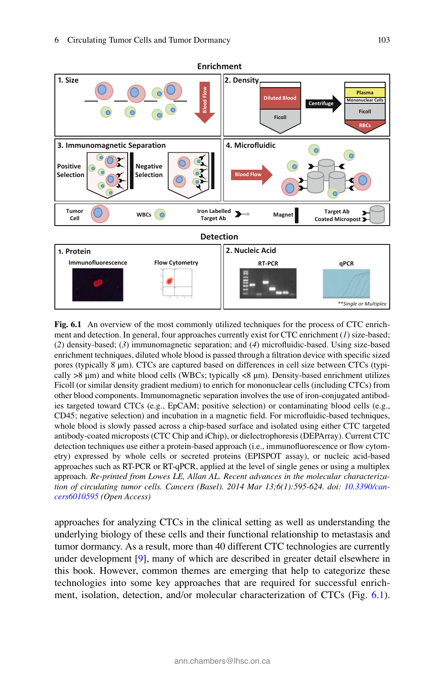

 **Fig. 6.1** An overview of the most commonly utilized techniques for the process of CTC enrichment and detection. In general, four approaches currently exist for CTC enrichment ( *1* ) size-based; ( *2* ) density-based; ( *3* ) immunomagnetic separation; and ( *4* ) microfl uidic-based. Using size-based enrichment techniques, diluted whole blood is passed through a filtration device with specific sized pores (typically 8 μm). CTCs are captured based on differences in cell size between CTCs (typically  $>8 \mu m$ ) and white blood cells (WBCs; typically  $< 8 \mu m$ ). Density-based enrichment utilizes Ficoll (or similar density gradient medium) to enrich for mononuclear cells (including CTCs) from other blood components. Immunomagnetic separation involves the use of iron-conjugated antibodies targeted toward CTCs (e.g., EpCAM; positive selection) or contaminating blood cells (e.g., CD45; negative selection) and incubation in a magnetic field. For microfluidic-based techniques, whole blood is slowly passed across a chip-based surface and isolated using either CTC targeted antibody-coated microposts (CTC Chip and iChip), or dielectrophoresis (DEPArray). Current CTC detection techniques use either a protein-based approach (i.e., immunofluorescence or flow cytometry) expressed by whole cells or secreted proteins (EPISPOT assay), or nucleic acid-based approaches such as RT-PCR or RT-qPCR, applied at the level of single genes or using a multiplex approach. *Re-printed from Lowes LE, Allan AL. Recent advances in the molecular characterization of circulating tumor cells. Cancers (Basel).* 2014 Mar 13;6(1):595-624. doi: [10.3390/can](http://dx.doi.org/10.3390/cancers6010595)*[cers6010595](http://dx.doi.org/10.3390/cancers6010595) (Open Access)*

approaches for analyzing CTCs in the clinical setting as well as understanding the underlying biology of these cells and their functional relationship to metastasis and tumor dormancy. As a result, more than 40 different CTC technologies are currently under development  $[9]$ , many of which are described in greater detail elsewhere in this book. However, common themes are emerging that help to categorize these technologies into some key approaches that are required for successful enrichment, isolation, detection, and/or molecular characterization of CTCs (Fig. 6.1).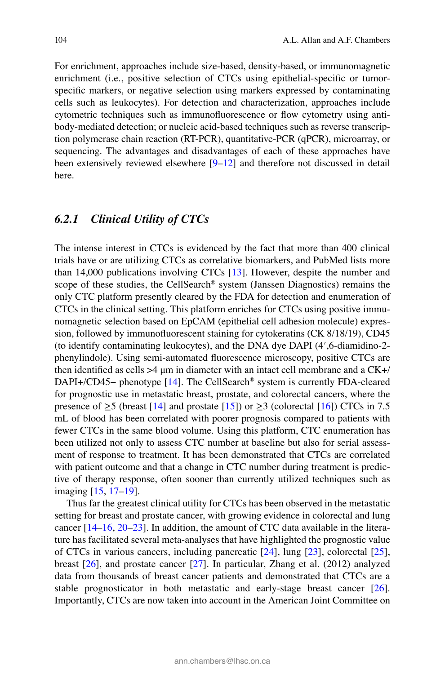For enrichment, approaches include size-based, density-based, or immunomagnetic enrichment (i.e., positive selection of CTCs using epithelial-specific or tumorspecific markers, or negative selection using markers expressed by contaminating cells such as leukocytes). For detection and characterization, approaches include cytometric techniques such as immunofluorescence or flow cytometry using antibody-mediated detection; or nucleic acid-based techniques such as reverse transcription polymerase chain reaction (RT-PCR), quantitative-PCR (qPCR), microarray, or sequencing. The advantages and disadvantages of each of these approaches have been extensively reviewed elsewhere  $[9-12]$  and therefore not discussed in detail here.

## *6.2.1 Clinical Utility of CTCs*

 The intense interest in CTCs is evidenced by the fact that more than 400 clinical trials have or are utilizing CTCs as correlative biomarkers, and PubMed lists more than 14,000 publications involving CTCs [ 13 ]. However, despite the number and scope of these studies, the CellSearch<sup>®</sup> system (Janssen Diagnostics) remains the only CTC platform presently cleared by the FDA for detection and enumeration of CTCs in the clinical setting. This platform enriches for CTCs using positive immunomagnetic selection based on EpCAM (epithelial cell adhesion molecule) expression, followed by immunofluorescent staining for cytokeratins (CK 8/18/19), CD45 (to identify contaminating leukocytes), and the DNA dye DAPI (4′,6-diamidino- 2 phenylindole). Using semi-automated fluorescence microscopy, positive CTCs are then identified as cells  $>4 \mu m$  in diameter with an intact cell membrane and a CK+/ DAPI+/CD45− phenotype [14]. The CellSearch<sup>®</sup> system is currently FDA-cleared for prognostic use in metastatic breast, prostate, and colorectal cancers, where the presence of  $\geq$ 5 (breast [14] and prostate [15]) or  $\geq$ 3 (colorectal [16]) CTCs in 7.5 mL of blood has been correlated with poorer prognosis compared to patients with fewer CTCs in the same blood volume. Using this platform, CTC enumeration has been utilized not only to assess CTC number at baseline but also for serial assessment of response to treatment. It has been demonstrated that CTCs are correlated with patient outcome and that a change in CTC number during treatment is predictive of therapy response, often sooner than currently utilized techniques such as imaging  $[15, 17-19]$ .

 Thus far the greatest clinical utility for CTCs has been observed in the metastatic setting for breast and prostate cancer, with growing evidence in colorectal and lung cancer  $[14–16, 20–23]$ . In addition, the amount of CTC data available in the literature has facilitated several meta-analyses that have highlighted the prognostic value of CTCs in various cancers, including pancreatic  $[24]$ , lung  $[23]$ , colorectal  $[25]$ , breast  $[26]$ , and prostate cancer  $[27]$ . In particular, Zhang et al. (2012) analyzed data from thousands of breast cancer patients and demonstrated that CTCs are a stable prognosticator in both metastatic and early-stage breast cancer  $[26]$ . Importantly, CTCs are now taken into account in the American Joint Committee on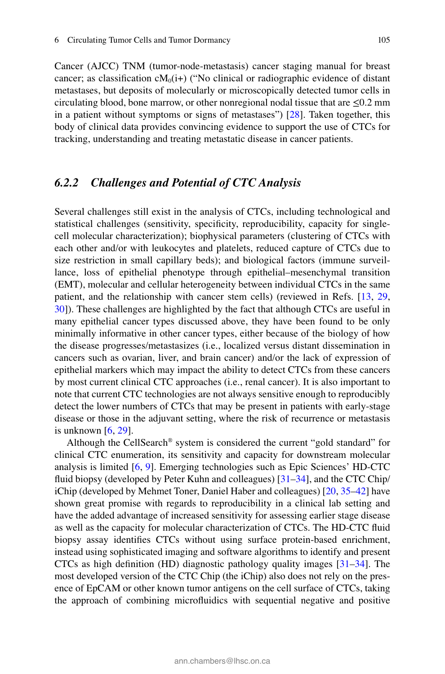Cancer (AJCC) TNM (tumor-node-metastasis) cancer staging manual for breast cancer; as classification  $cM_0(i+)$  ("No clinical or radiographic evidence of distant metastases, but deposits of molecularly or microscopically detected tumor cells in circulating blood, bone marrow, or other nonregional nodal tissue that are  $\leq 0.2$  mm in a patient without symptoms or signs of metastases")  $[28]$ . Taken together, this body of clinical data provides convincing evidence to support the use of CTCs for tracking, understanding and treating metastatic disease in cancer patients .

#### *6.2.2 Challenges and Potential of CTC Analysis*

Several challenges still exist in the analysis of CTCs, including technological and statistical challenges (sensitivity, specificity, reproducibility, capacity for singlecell molecular characterization); biophysical parameters (clustering of CTCs with each other and/or with leukocytes and platelets, reduced capture of CTCs due to size restriction in small capillary beds); and biological factors (immune surveillance, loss of epithelial phenotype through epithelial–mesenchymal transition (EMT), molecular and cellular heterogeneity between individual CTCs in the same patient, and the relationship with cancer stem cells) (reviewed in Refs. [ 13 , 29 , 30 ]). These challenges are highlighted by the fact that although CTCs are useful in many epithelial cancer types discussed above, they have been found to be only minimally informative in other cancer types, either because of the biology of how the disease progresses/metastasizes (i.e., localized versus distant dissemination in cancers such as ovarian, liver, and brain cancer) and/or the lack of expression of epithelial markers which may impact the ability to detect CTCs from these cancers by most current clinical CTC approaches (i.e., renal cancer). It is also important to note that current CTC technologies are not always sensitive enough to reproducibly detect the lower numbers of CTCs that may be present in patients with early-stage disease or those in the adjuvant setting, where the risk of recurrence or metastasis is unknown  $[6, 29]$ .

Although the CellSearch® system is considered the current "gold standard" for clinical CTC enumeration, its sensitivity and capacity for downstream molecular analysis is limited [6, 9]. Emerging technologies such as Epic Sciences' HD-CTC fluid biopsy (developed by Peter Kuhn and colleagues)  $[31-34]$ , and the CTC Chip/ iChip (developed by Mehmet Toner, Daniel Haber and colleagues) [20, 35–42] have shown great promise with regards to reproducibility in a clinical lab setting and have the added advantage of increased sensitivity for assessing earlier stage disease as well as the capacity for molecular characterization of CTCs. The HD-CTC fluid biopsy assay identifies CTCs without using surface protein-based enrichment, instead using sophisticated imaging and software algorithms to identify and present CTCs as high definition (HD) diagnostic pathology quality images  $[31-34]$ . The most developed version of the CTC Chip (the iChip) also does not rely on the presence of EpCAM or other known tumor antigens on the cell surface of CTCs, taking the approach of combining microfluidics with sequential negative and positive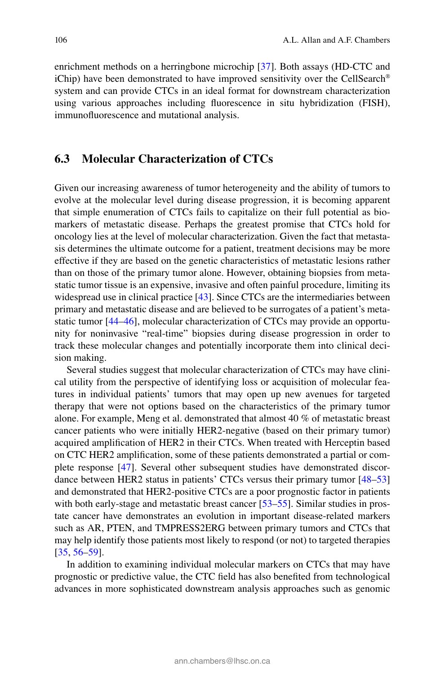enrichment methods on a herringbone microchip [37]. Both assays (HD-CTC and iChip) have been demonstrated to have improved sensitivity over the CellSearch<sup>®</sup> system and can provide CTCs in an ideal format for downstream characterization using various approaches including fluorescence in situ hybridization (FISH), immunofluorescence and mutational analysis.

## **6.3 Molecular Characterization of CTCs**

 Given our increasing awareness of tumor heterogeneity and the ability of tumors to evolve at the molecular level during disease progression, it is becoming apparent that simple enumeration of CTCs fails to capitalize on their full potential as biomarkers of metastatic disease. Perhaps the greatest promise that CTCs hold for oncology lies at the level of molecular characterization. Given the fact that metastasis determines the ultimate outcome for a patient, treatment decisions may be more effective if they are based on the genetic characteristics of metastatic lesions rather than on those of the primary tumor alone. However, obtaining biopsies from metastatic tumor tissue is an expensive, invasive and often painful procedure, limiting its widespread use in clinical practice  $[43]$ . Since CTCs are the intermediaries between primary and metastatic disease and are believed to be surrogates of a patient's metastatic tumor [44–46], molecular characterization of CTCs may provide an opportunity for noninvasive "real-time" biopsies during disease progression in order to track these molecular changes and potentially incorporate them into clinical decision making.

 Several studies suggest that molecular characterization of CTCs may have clinical utility from the perspective of identifying loss or acquisition of molecular features in individual patients' tumors that may open up new avenues for targeted therapy that were not options based on the characteristics of the primary tumor alone. For example, Meng et al. demonstrated that almost 40 % of metastatic breast cancer patients who were initially HER2-negative (based on their primary tumor) acquired amplification of HER2 in their CTCs. When treated with Herceptin based on CTC HER2 amplification, some of these patients demonstrated a partial or complete response [47]. Several other subsequent studies have demonstrated discordance between HER2 status in patients' CTCs versus their primary tumor [48–53] and demonstrated that HER2-positive CTCs are a poor prognostic factor in patients with both early-stage and metastatic breast cancer [53–55]. Similar studies in prostate cancer have demonstrates an evolution in important disease-related markers such as AR, PTEN, and TMPRESS2ERG between primary tumors and CTCs that may help identify those patients most likely to respond (or not) to targeted therapies  $[35, 56 - 59]$ .

 In addition to examining individual molecular markers on CTCs that may have prognostic or predictive value, the CTC field has also benefited from technological advances in more sophisticated downstream analysis approaches such as genomic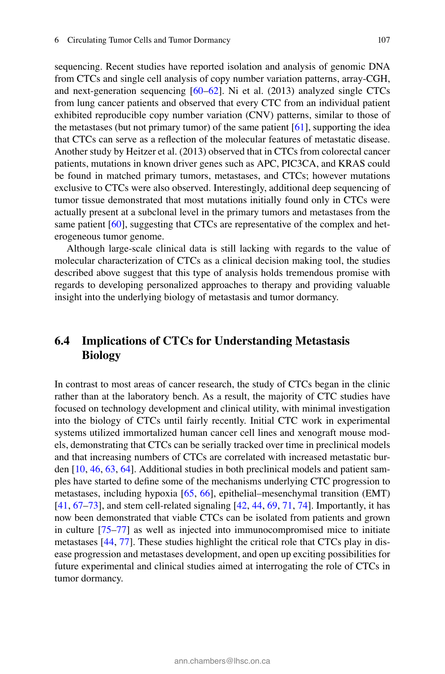sequencing. Recent studies have reported isolation and analysis of genomic DNA from CTCs and single cell analysis of copy number variation patterns, array-CGH, and next-generation sequencing  $[60-62]$ . Ni et al. (2013) analyzed single CTCs from lung cancer patients and observed that every CTC from an individual patient exhibited reproducible copy number variation (CNV) patterns, similar to those of the metastases (but not primary tumor) of the same patient  $[61]$ , supporting the idea that CTCs can serve as a reflection of the molecular features of metastatic disease. Another study by Heitzer et al. (2013) observed that in CTCs from colorectal cancer patients, mutations in known driver genes such as APC, PIC3CA, and KRAS could be found in matched primary tumors, metastases, and CTCs; however mutations exclusive to CTCs were also observed. Interestingly, additional deep sequencing of tumor tissue demonstrated that most mutations initially found only in CTCs were actually present at a subclonal level in the primary tumors and metastases from the same patient  $[60]$ , suggesting that CTCs are representative of the complex and heterogeneous tumor genome.

 Although large-scale clinical data is still lacking with regards to the value of molecular characterization of CTCs as a clinical decision making tool, the studies described above suggest that this type of analysis holds tremendous promise with regards to developing personalized approaches to therapy and providing valuable insight into the underlying biology of metastasis and tumor dormancy.

## **6.4 Implications of CTCs for Understanding Metastasis Biology**

 In contrast to most areas of cancer research, the study of CTCs began in the clinic rather than at the laboratory bench. As a result, the majority of CTC studies have focused on technology development and clinical utility, with minimal investigation into the biology of CTCs until fairly recently. Initial CTC work in experimental systems utilized immortalized human cancer cell lines and xenograft mouse models, demonstrating that CTCs can be serially tracked over time in preclinical models and that increasing numbers of CTCs are correlated with increased metastatic burden  $[10, 46, 63, 64]$ . Additional studies in both preclinical models and patient samples have started to define some of the mechanisms underlying CTC progression to metastases, including hypoxia  $[65, 66]$ , epithelial–mesenchymal transition (EMT)  $[41, 67-73]$ , and stem cell-related signaling  $[42, 44, 69, 71, 74]$ . Importantly, it has now been demonstrated that viable CTCs can be isolated from patients and grown in culture [75–77] as well as injected into immunocompromised mice to initiate metastases  $[44, 77]$ . These studies highlight the critical role that CTCs play in disease progression and metastases development, and open up exciting possibilities for future experimental and clinical studies aimed at interrogating the role of CTCs in tumor dormancy.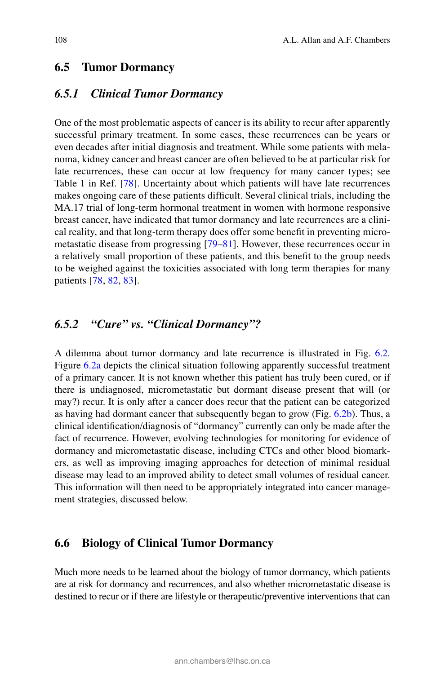## **6.5 Tumor Dormancy**

#### *6.5.1 Clinical Tumor Dormancy*

 One of the most problematic aspects of cancer is its ability to recur after apparently successful primary treatment. In some cases, these recurrences can be years or even decades after initial diagnosis and treatment. While some patients with melanoma, kidney cancer and breast cancer are often believed to be at particular risk for late recurrences, these can occur at low frequency for many cancer types; see Table 1 in Ref. [78]. Uncertainty about which patients will have late recurrences makes ongoing care of these patients difficult. Several clinical trials, including the MA.17 trial of long-term hormonal treatment in women with hormone responsive breast cancer, have indicated that tumor dormancy and late recurrences are a clinical reality, and that long-term therapy does offer some benefit in preventing micrometastatic disease from progressing [79–81]. However, these recurrences occur in a relatively small proportion of these patients, and this benefi t to the group needs to be weighed against the toxicities associated with long term therapies for many patients [78, 82, 83].

#### *6.5.2 "Cure" vs. "Clinical Dormancy" ?*

 A dilemma about tumor dormancy and late recurrence is illustrated in Fig. 6.2 . Figure 6.2a depicts the clinical situation following apparently successful treatment of a primary cancer. It is not known whether this patient has truly been cured, or if there is undiagnosed, micrometastatic but dormant disease present that will (or may?) recur. It is only after a cancer does recur that the patient can be categorized as having had dormant cancer that subsequently began to grow (Fig. 6.2b). Thus, a clinical identification/diagnosis of "dormancy" currently can only be made after the fact of recurrence. However, evolving technologies for monitoring for evidence of dormancy and micrometastatic disease, including CTCs and other blood biomarkers, as well as improving imaging approaches for detection of minimal residual disease may lead to an improved ability to detect small volumes of residual cancer. This information will then need to be appropriately integrated into cancer management strategies, discussed below.

## **6.6 Biology of Clinical Tumor Dormancy**

 Much more needs to be learned about the biology of tumor dormancy, which patients are at risk for dormancy and recurrences, and also whether micrometastatic disease is destined to recur or if there are lifestyle or therapeutic/preventive interventions that can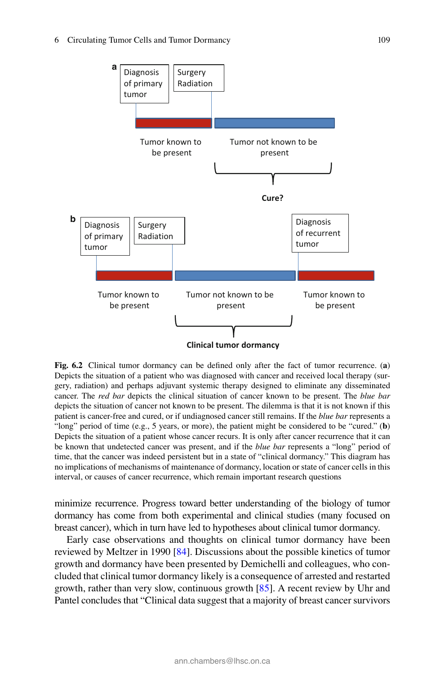

**Fig. 6.2** Clinical tumor dormancy can be defined only after the fact of tumor recurrence. (a) Depicts the situation of a patient who was diagnosed with cancer and received local therapy (surgery, radiation) and perhaps adjuvant systemic therapy designed to eliminate any disseminated cancer. The *red bar* depicts the clinical situation of cancer known to be present. The *blue bar* depicts the situation of cancer not known to be present. The dilemma is that it is not known if this patient is cancer-free and cured, or if undiagnosed cancer still remains. If the *blue bar* represents a "long" period of time (e.g., 5 years, or more), the patient might be considered to be "cured." ( **b** ) Depicts the situation of a patient whose cancer recurs. It is only after cancer recurrence that it can be known that undetected cancer was present, and if the *blue bar* represents a "long" period of time, that the cancer was indeed persistent but in a state of "clinical dormancy." This diagram has no implications of mechanisms of maintenance of dormancy, location or state of cancer cells in this interval, or causes of cancer recurrence, which remain important research questions

minimize recurrence. Progress toward better understanding of the biology of tumor dormancy has come from both experimental and clinical studies (many focused on breast cancer), which in turn have led to hypotheses about clinical tumor dormancy.

 Early case observations and thoughts on clinical tumor dormancy have been reviewed by Meltzer in 1990 [84]. Discussions about the possible kinetics of tumor growth and dormancy have been presented by Demichelli and colleagues, who concluded that clinical tumor dormancy likely is a consequence of arrested and restarted growth, rather than very slow, continuous growth [ 85 ]. A recent review by Uhr and Pantel concludes that "Clinical data suggest that a majority of breast cancer survivors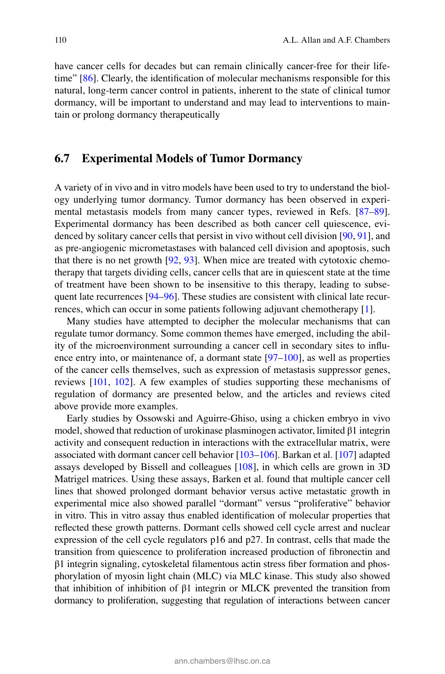have cancer cells for decades but can remain clinically cancer-free for their lifetime" [86]. Clearly, the identification of molecular mechanisms responsible for this natural, long-term cancer control in patients, inherent to the state of clinical tumor dormancy, will be important to understand and may lead to interventions to maintain or prolong dormancy therapeutically

#### **6.7 Experimental Models of Tumor Dormancy**

 A variety of in vivo and in vitro models have been used to try to understand the biology underlying tumor dormancy. Tumor dormancy has been observed in experimental metastasis models from many cancer types, reviewed in Refs. [87–89]. Experimental dormancy has been described as both cancer cell quiescence, evidenced by solitary cancer cells that persist in vivo without cell division [90, 91], and as pre-angiogenic micrometastases with balanced cell division and apoptosis, such that there is no net growth  $[92, 93]$ . When mice are treated with cytotoxic chemotherapy that targets dividing cells, cancer cells that are in quiescent state at the time of treatment have been shown to be insensitive to this therapy, leading to subsequent late recurrences  $[94–96]$ . These studies are consistent with clinical late recurrences, which can occur in some patients following adjuvant chemotherapy [1].

Many studies have attempted to decipher the molecular mechanisms that can regulate tumor dormancy. Some common themes have emerged, including the ability of the microenvironment surrounding a cancer cell in secondary sites to influence entry into, or maintenance of, a dormant state  $[97-100]$ , as well as properties of the cancer cells themselves, such as expression of metastasis suppressor genes, reviews [101, 102]. A few examples of studies supporting these mechanisms of regulation of dormancy are presented below, and the articles and reviews cited above provide more examples.

 Early studies by Ossowski and Aguirre-Ghiso, using a chicken embryo in vivo model, showed that reduction of urokinase plasminogen activator, limited  $\beta$ 1 integrin activity and consequent reduction in interactions with the extracellular matrix, were associated with dormant cancer cell behavior [103-106]. Barkan et al. [107] adapted assays developed by Bissell and colleagues  $[108]$ , in which cells are grown in 3D Matrigel matrices. Using these assays, Barken et al. found that multiple cancer cell lines that showed prolonged dormant behavior versus active metastatic growth in experimental mice also showed parallel "dormant" versus "proliferative" behavior in vitro. This in vitro assay thus enabled identification of molecular properties that reflected these growth patterns. Dormant cells showed cell cycle arrest and nuclear expression of the cell cycle regulators p16 and p27. In contrast, cells that made the transition from quiescence to proliferation increased production of fibronectin and  $\beta$ 1 integrin signaling, cytoskeletal filamentous actin stress fiber formation and phosphorylation of myosin light chain (MLC) via MLC kinase. This study also showed that inhibition of inhibition of β1 integrin or MLCK prevented the transition from dormancy to proliferation, suggesting that regulation of interactions between cancer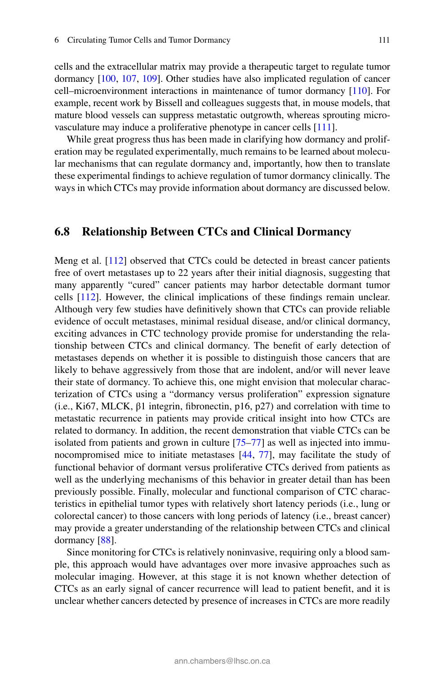cells and the extracellular matrix may provide a therapeutic target to regulate tumor dormancy [100, 107, 109]. Other studies have also implicated regulation of cancer cell–microenvironment interactions in maintenance of tumor dormancy [110]. For example, recent work by Bissell and colleagues suggests that, in mouse models, that mature blood vessels can suppress metastatic outgrowth, whereas sprouting microvasculature may induce a proliferative phenotype in cancer cells [111].

While great progress thus has been made in clarifying how dormancy and proliferation may be regulated experimentally, much remains to be learned about molecular mechanisms that can regulate dormancy and, importantly, how then to translate these experimental findings to achieve regulation of tumor dormancy clinically. The ways in which CTCs may provide information about dormancy are discussed below .

#### **6.8 Relationship Between CTCs and Clinical Dormancy**

Meng et al. [112] observed that CTCs could be detected in breast cancer patients free of overt metastases up to 22 years after their initial diagnosis, suggesting that many apparently "cured" cancer patients may harbor detectable dormant tumor cells  $[112]$ . However, the clinical implications of these findings remain unclear. Although very few studies have definitively shown that CTCs can provide reliable evidence of occult metastases, minimal residual disease, and/or clinical dormancy, exciting advances in CTC technology provide promise for understanding the relationship between CTCs and clinical dormancy. The benefit of early detection of metastases depends on whether it is possible to distinguish those cancers that are likely to behave aggressively from those that are indolent, and/or will never leave their state of dormancy. To achieve this, one might envision that molecular characterization of CTCs using a "dormancy versus proliferation" expression signature (i.e., Ki67, MLCK,  $\beta$ 1 integrin, fibronectin, p16, p27) and correlation with time to metastatic recurrence in patients may provide critical insight into how CTCs are related to dormancy. In addition, the recent demonstration that viable CTCs can be isolated from patients and grown in culture  $[75-77]$  as well as injected into immunocompromised mice to initiate metastases [44, 77], may facilitate the study of functional behavior of dormant versus proliferative CTCs derived from patients as well as the underlying mechanisms of this behavior in greater detail than has been previously possible. Finally, molecular and functional comparison of CTC characteristics in epithelial tumor types with relatively short latency periods (i.e., lung or colorectal cancer) to those cancers with long periods of latency (i.e., breast cancer) may provide a greater understanding of the relationship between CTCs and clinical dormancy  $[88]$ .

 Since monitoring for CTCs is relatively noninvasive, requiring only a blood sample, this approach would have advantages over more invasive approaches such as molecular imaging. However, at this stage it is not known whether detection of CTCs as an early signal of cancer recurrence will lead to patient benefit, and it is unclear whether cancers detected by presence of increases in CTCs are more readily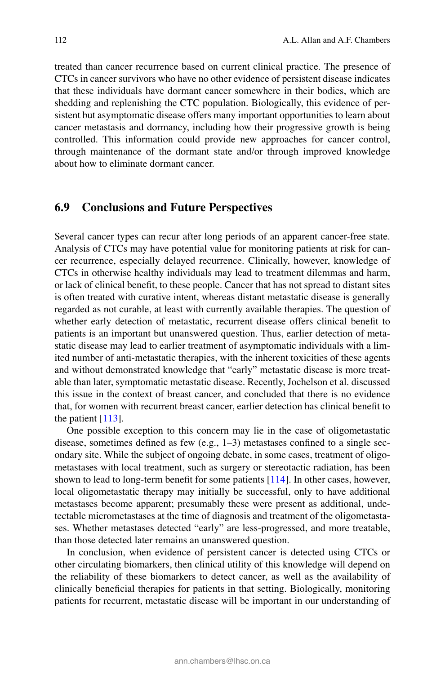treated than cancer recurrence based on current clinical practice. The presence of CTCs in cancer survivors who have no other evidence of persistent disease indicates that these individuals have dormant cancer somewhere in their bodies, which are shedding and replenishing the CTC population. Biologically, this evidence of persistent but asymptomatic disease offers many important opportunities to learn about cancer metastasis and dormancy, including how their progressive growth is being controlled. This information could provide new approaches for cancer control, through maintenance of the dormant state and/or through improved knowledge about how to eliminate dormant cancer.

#### **6.9 Conclusions and Future Perspectives**

 Several cancer types can recur after long periods of an apparent cancer-free state. Analysis of CTCs may have potential value for monitoring patients at risk for cancer recurrence, especially delayed recurrence. Clinically, however, knowledge of CTCs in otherwise healthy individuals may lead to treatment dilemmas and harm, or lack of clinical benefit, to these people. Cancer that has not spread to distant sites is often treated with curative intent, whereas distant metastatic disease is generally regarded as not curable, at least with currently available therapies. The question of whether early detection of metastatic, recurrent disease offers clinical benefit to patients is an important but unanswered question. Thus, earlier detection of metastatic disease may lead to earlier treatment of asymptomatic individuals with a limited number of anti-metastatic therapies, with the inherent toxicities of these agents and without demonstrated knowledge that "early" metastatic disease is more treatable than later, symptomatic metastatic disease. Recently, Jochelson et al. discussed this issue in the context of breast cancer, and concluded that there is no evidence that, for women with recurrent breast cancer, earlier detection has clinical benefit to the patient  $[113]$ .

 One possible exception to this concern may lie in the case of oligometastatic disease, sometimes defined as few (e.g.,  $1-3$ ) metastases confined to a single secondary site. While the subject of ongoing debate, in some cases, treatment of oligometastases with local treatment, such as surgery or stereotactic radiation, has been shown to lead to long-term benefit for some patients  $[114]$ . In other cases, however, local oligometastatic therapy may initially be successful, only to have additional metastases become apparent; presumably these were present as additional, undetectable micrometastases at the time of diagnosis and treatment of the oligometastases. Whether metastases detected "early" are less-progressed, and more treatable, than those detected later remains an unanswered question.

 In conclusion, when evidence of persistent cancer is detected using CTCs or other circulating biomarkers, then clinical utility of this knowledge will depend on the reliability of these biomarkers to detect cancer, as well as the availability of clinically beneficial therapies for patients in that setting. Biologically, monitoring patients for recurrent, metastatic disease will be important in our understanding of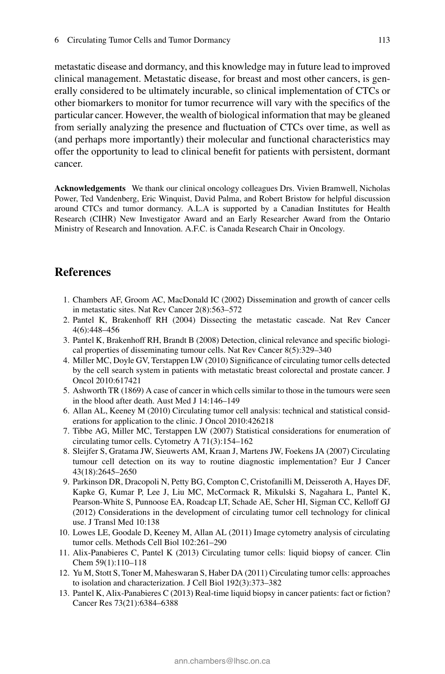metastatic disease and dormancy, and this knowledge may in future lead to improved clinical management. Metastatic disease, for breast and most other cancers, is generally considered to be ultimately incurable, so clinical implementation of CTCs or other biomarkers to monitor for tumor recurrence will vary with the specifics of the particular cancer. However, the wealth of biological information that may be gleaned from serially analyzing the presence and fluctuation of CTCs over time, as well as (and perhaps more importantly) their molecular and functional characteristics may offer the opportunity to lead to clinical benefi t for patients with persistent, dormant cancer.

 **Acknowledgements** We thank our clinical oncology colleagues Drs. Vivien Bramwell, Nicholas Power, Ted Vandenberg, Eric Winquist, David Palma, and Robert Bristow for helpful discussion around CTCs and tumor dormancy. A.L.A is supported by a Canadian Institutes for Health Research (CIHR) New Investigator Award and an Early Researcher Award from the Ontario Ministry of Research and Innovation. A.F.C. is Canada Research Chair in Oncology.

#### **References**

- 1. Chambers AF, Groom AC, MacDonald IC (2002) Dissemination and growth of cancer cells in metastatic sites. Nat Rev Cancer 2(8):563–572
- 2. Pantel K, Brakenhoff RH (2004) Dissecting the metastatic cascade. Nat Rev Cancer 4(6):448–456
- 3. Pantel K, Brakenhoff RH, Brandt B (2008) Detection, clinical relevance and specific biological properties of disseminating tumour cells. Nat Rev Cancer 8(5):329–340
- 4. Miller MC, Doyle GV, Terstappen LW (2010) Significance of circulating tumor cells detected by the cell search system in patients with metastatic breast colorectal and prostate cancer. J Oncol 2010:617421
- 5. Ashworth TR (1869) A case of cancer in which cells similar to those in the tumours were seen in the blood after death. Aust Med J 14:146–149
- 6. Allan AL, Keeney M (2010) Circulating tumor cell analysis: technical and statistical considerations for application to the clinic. J Oncol 2010:426218
- 7. Tibbe AG, Miller MC, Terstappen LW (2007) Statistical considerations for enumeration of circulating tumor cells. Cytometry A 71(3):154–162
- 8. Sleijfer S, Gratama JW, Sieuwerts AM, Kraan J, Martens JW, Foekens JA (2007) Circulating tumour cell detection on its way to routine diagnostic implementation? Eur J Cancer 43(18):2645–2650
- 9. Parkinson DR, Dracopoli N, Petty BG, Compton C, Cristofanilli M, Deisseroth A, Hayes DF, Kapke G, Kumar P, Lee J, Liu MC, McCormack R, Mikulski S, Nagahara L, Pantel K, Pearson-White S, Punnoose EA, Roadcap LT, Schade AE, Scher HI, Sigman CC, Kelloff GJ (2012) Considerations in the development of circulating tumor cell technology for clinical use. J Transl Med 10:138
- 10. Lowes LE, Goodale D, Keeney M, Allan AL (2011) Image cytometry analysis of circulating tumor cells. Methods Cell Biol 102:261–290
- 11. Alix-Panabieres C, Pantel K (2013) Circulating tumor cells: liquid biopsy of cancer. Clin Chem 59(1):110–118
- 12. Yu M, Stott S, Toner M, Maheswaran S, Haber DA (2011) Circulating tumor cells: approaches to isolation and characterization. J Cell Biol 192(3):373–382
- 13. Pantel K, Alix-Panabieres C (2013) Real-time liquid biopsy in cancer patients: fact or fiction? Cancer Res 73(21):6384–6388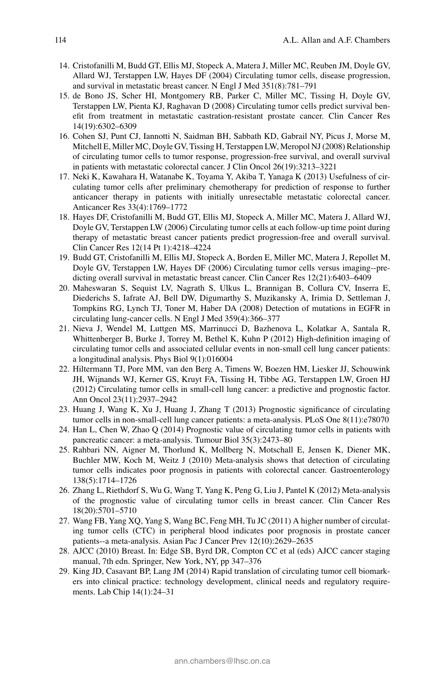- 14. Cristofanilli M, Budd GT, Ellis MJ, Stopeck A, Matera J, Miller MC, Reuben JM, Doyle GV, Allard WJ, Terstappen LW, Hayes DF (2004) Circulating tumor cells, disease progression, and survival in metastatic breast cancer. N Engl J Med 351(8):781–791
- 15. de Bono JS, Scher HI, Montgomery RB, Parker C, Miller MC, Tissing H, Doyle GV, Terstappen LW, Pienta KJ, Raghavan D (2008) Circulating tumor cells predict survival benefit from treatment in metastatic castration-resistant prostate cancer. Clin Cancer Res 14(19):6302–6309
- 16. Cohen SJ, Punt CJ, Iannotti N, Saidman BH, Sabbath KD, Gabrail NY, Picus J, Morse M, Mitchell E, Miller MC, Doyle GV, Tissing H, Terstappen LW, Meropol NJ (2008) Relationship of circulating tumor cells to tumor response, progression-free survival, and overall survival in patients with metastatic colorectal cancer. J Clin Oncol 26(19):3213–3221
- 17. Neki K, Kawahara H, Watanabe K, Toyama Y, Akiba T, Yanaga K (2013) Usefulness of circulating tumor cells after preliminary chemotherapy for prediction of response to further anticancer therapy in patients with initially unresectable metastatic colorectal cancer. Anticancer Res 33(4):1769–1772
- 18. Hayes DF, Cristofanilli M, Budd GT, Ellis MJ, Stopeck A, Miller MC, Matera J, Allard WJ, Doyle GV, Terstappen LW (2006) Circulating tumor cells at each follow-up time point during therapy of metastatic breast cancer patients predict progression-free and overall survival. Clin Cancer Res 12(14 Pt 1):4218–4224
- 19. Budd GT, Cristofanilli M, Ellis MJ, Stopeck A, Borden E, Miller MC, Matera J, Repollet M, Doyle GV, Terstappen LW, Hayes DF (2006) Circulating tumor cells versus imaging--predicting overall survival in metastatic breast cancer. Clin Cancer Res 12(21):6403–6409
- 20. Maheswaran S, Sequist LV, Nagrath S, Ulkus L, Brannigan B, Collura CV, Inserra E, Diederichs S, Iafrate AJ, Bell DW, Digumarthy S, Muzikansky A, Irimia D, Settleman J, Tompkins RG, Lynch TJ, Toner M, Haber DA (2008) Detection of mutations in EGFR in circulating lung-cancer cells. N Engl J Med 359(4):366–377
- 21. Nieva J, Wendel M, Luttgen MS, Marrinucci D, Bazhenova L, Kolatkar A, Santala R, Whittenberger B, Burke J, Torrey M, Bethel K, Kuhn P  $(2012)$  High-definition imaging of circulating tumor cells and associated cellular events in non-small cell lung cancer patients: a longitudinal analysis. Phys Biol 9(1):016004
- 22. Hiltermann TJ, Pore MM, van den Berg A, Timens W, Boezen HM, Liesker JJ, Schouwink JH, Wijnands WJ, Kerner GS, Kruyt FA, Tissing H, Tibbe AG, Terstappen LW, Groen HJ (2012) Circulating tumor cells in small-cell lung cancer: a predictive and prognostic factor. Ann Oncol 23(11):2937–2942
- 23. Huang J, Wang K, Xu J, Huang J, Zhang T (2013) Prognostic significance of circulating tumor cells in non-small-cell lung cancer patients: a meta-analysis. PLoS One 8(11):e78070
- 24. Han L, Chen W, Zhao Q (2014) Prognostic value of circulating tumor cells in patients with pancreatic cancer: a meta-analysis. Tumour Biol 35(3):2473–80
- 25. Rahbari NN, Aigner M, Thorlund K, Mollberg N, Motschall E, Jensen K, Diener MK, Buchler MW, Koch M, Weitz J (2010) Meta-analysis shows that detection of circulating tumor cells indicates poor prognosis in patients with colorectal cancer. Gastroenterology 138(5):1714–1726
- 26. Zhang L, Riethdorf S, Wu G, Wang T, Yang K, Peng G, Liu J, Pantel K (2012) Meta-analysis of the prognostic value of circulating tumor cells in breast cancer. Clin Cancer Res 18(20):5701–5710
- 27. Wang FB, Yang XQ, Yang S, Wang BC, Feng MH, Tu JC (2011) A higher number of circulating tumor cells (CTC) in peripheral blood indicates poor prognosis in prostate cancer patients--a meta-analysis. Asian Pac J Cancer Prev 12(10):2629–2635
- 28. AJCC (2010) Breast. In: Edge SB, Byrd DR, Compton CC et al (eds) AJCC cancer staging manual, 7th edn. Springer, New York, NY, pp 347–376
- 29. King JD, Casavant BP, Lang JM (2014) Rapid translation of circulating tumor cell biomarkers into clinical practice: technology development, clinical needs and regulatory requirements. Lab Chip 14(1):24–31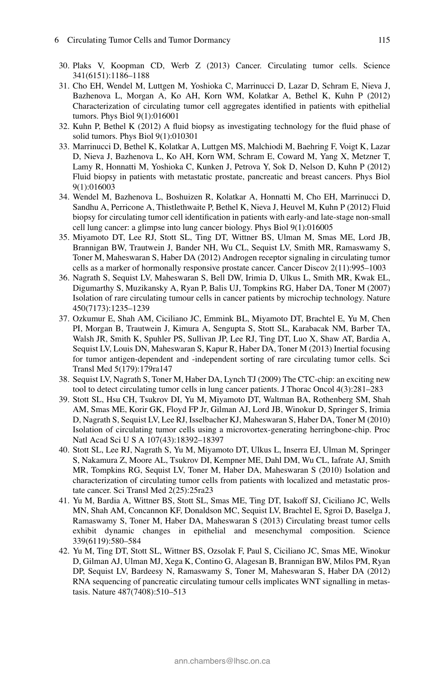#### 6 Circulating Tumor Cells and Tumor Dormancy

- 30. Plaks V, Koopman CD, Werb Z (2013) Cancer. Circulating tumor cells. Science 341(6151):1186–1188
- 31. Cho EH, Wendel M, Luttgen M, Yoshioka C, Marrinucci D, Lazar D, Schram E, Nieva J, Bazhenova L, Morgan A, Ko AH, Korn WM, Kolatkar A, Bethel K, Kuhn P (2012) Characterization of circulating tumor cell aggregates identified in patients with epithelial tumors. Phys Biol 9(1):016001
- 32. Kuhn P, Bethel K (2012) A fluid biopsy as investigating technology for the fluid phase of solid tumors. Phys Biol 9(1):010301
- 33. Marrinucci D, Bethel K, Kolatkar A, Luttgen MS, Malchiodi M, Baehring F, Voigt K, Lazar D, Nieva J, Bazhenova L, Ko AH, Korn WM, Schram E, Coward M, Yang X, Metzner T, Lamy R, Honnatti M, Yoshioka C, Kunken J, Petrova Y, Sok D, Nelson D, Kuhn P (2012) Fluid biopsy in patients with metastatic prostate, pancreatic and breast cancers. Phys Biol 9(1):016003
- 34. Wendel M, Bazhenova L, Boshuizen R, Kolatkar A, Honnatti M, Cho EH, Marrinucci D, Sandhu A, Perricone A, Thistlethwaite P, Bethel K, Nieva J, Heuvel M, Kuhn P (2012) Fluid biopsy for circulating tumor cell identification in patients with early-and late-stage non-small cell lung cancer: a glimpse into lung cancer biology. Phys Biol 9(1):016005
- 35. Miyamoto DT, Lee RJ, Stott SL, Ting DT, Wittner BS, Ulman M, Smas ME, Lord JB, Brannigan BW, Trautwein J, Bander NH, Wu CL, Sequist LV, Smith MR, Ramaswamy S, Toner M, Maheswaran S, Haber DA (2012) Androgen receptor signaling in circulating tumor cells as a marker of hormonally responsive prostate cancer. Cancer Discov 2(11):995–1003
- 36. Nagrath S, Sequist LV, Maheswaran S, Bell DW, Irimia D, Ulkus L, Smith MR, Kwak EL, Digumarthy S, Muzikansky A, Ryan P, Balis UJ, Tompkins RG, Haber DA, Toner M (2007) Isolation of rare circulating tumour cells in cancer patients by microchip technology. Nature 450(7173):1235–1239
- 37. Ozkumur E, Shah AM, Ciciliano JC, Emmink BL, Miyamoto DT, Brachtel E, Yu M, Chen PI, Morgan B, Trautwein J, Kimura A, Sengupta S, Stott SL, Karabacak NM, Barber TA, Walsh JR, Smith K, Spuhler PS, Sullivan JP, Lee RJ, Ting DT, Luo X, Shaw AT, Bardia A, Sequist LV, Louis DN, Maheswaran S, Kapur R, Haber DA, Toner M (2013) Inertial focusing for tumor antigen-dependent and -independent sorting of rare circulating tumor cells. Sci Transl Med 5(179):179ra147
- 38. Sequist LV, Nagrath S, Toner M, Haber DA, Lynch TJ (2009) The CTC-chip: an exciting new tool to detect circulating tumor cells in lung cancer patients. J Thorac Oncol 4(3):281–283
- 39. Stott SL, Hsu CH, Tsukrov DI, Yu M, Miyamoto DT, Waltman BA, Rothenberg SM, Shah AM, Smas ME, Korir GK, Floyd FP Jr, Gilman AJ, Lord JB, Winokur D, Springer S, Irimia D, Nagrath S, Sequist LV, Lee RJ, Isselbacher KJ, Maheswaran S, Haber DA, Toner M (2010) Isolation of circulating tumor cells using a microvortex-generating herringbone-chip. Proc Natl Acad Sci U S A 107(43):18392–18397
- 40. Stott SL, Lee RJ, Nagrath S, Yu M, Miyamoto DT, Ulkus L, Inserra EJ, Ulman M, Springer S, Nakamura Z, Moore AL, Tsukrov DI, Kempner ME, Dahl DM, Wu CL, Iafrate AJ, Smith MR, Tompkins RG, Sequist LV, Toner M, Haber DA, Maheswaran S (2010) Isolation and characterization of circulating tumor cells from patients with localized and metastatic prostate cancer. Sci Transl Med 2(25):25ra23
- 41. Yu M, Bardia A, Wittner BS, Stott SL, Smas ME, Ting DT, Isakoff SJ, Ciciliano JC, Wells MN, Shah AM, Concannon KF, Donaldson MC, Sequist LV, Brachtel E, Sgroi D, Baselga J, Ramaswamy S, Toner M, Haber DA, Maheswaran S (2013) Circulating breast tumor cells exhibit dynamic changes in epithelial and mesenchymal composition. Science 339(6119):580–584
- 42. Yu M, Ting DT, Stott SL, Wittner BS, Ozsolak F, Paul S, Ciciliano JC, Smas ME, Winokur D, Gilman AJ, Ulman MJ, Xega K, Contino G, Alagesan B, Brannigan BW, Milos PM, Ryan DP, Sequist LV, Bardeesy N, Ramaswamy S, Toner M, Maheswaran S, Haber DA (2012) RNA sequencing of pancreatic circulating tumour cells implicates WNT signalling in metastasis. Nature 487(7408):510–513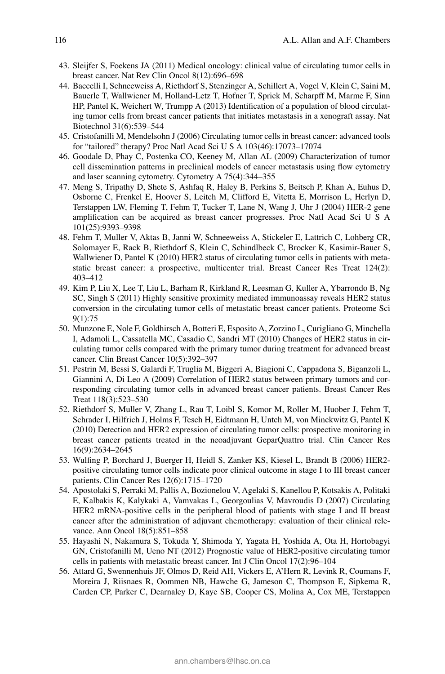- 43. Sleijfer S, Foekens JA (2011) Medical oncology: clinical value of circulating tumor cells in breast cancer. Nat Rev Clin Oncol 8(12):696–698
- 44. Baccelli I, Schneeweiss A, Riethdorf S, Stenzinger A, Schillert A, Vogel V, Klein C, Saini M, Bauerle T, Wallwiener M, Holland-Letz T, Hofner T, Sprick M, Scharpff M, Marme F, Sinn HP, Pantel K, Weichert W, Trumpp A (2013) Identification of a population of blood circulating tumor cells from breast cancer patients that initiates metastasis in a xenograft assay. Nat Biotechnol 31(6):539–544
- 45. Cristofanilli M, Mendelsohn J (2006) Circulating tumor cells in breast cancer: advanced tools for "tailored" therapy? Proc Natl Acad Sci U S A 103(46):17073–17074
- 46. Goodale D, Phay C, Postenka CO, Keeney M, Allan AL (2009) Characterization of tumor cell dissemination patterns in preclinical models of cancer metastasis using flow cytometry and laser scanning cytometry. Cytometry A 75(4):344–355
- 47. Meng S, Tripathy D, Shete S, Ashfaq R, Haley B, Perkins S, Beitsch P, Khan A, Euhus D, Osborne C, Frenkel E, Hoover S, Leitch M, Clifford E, Vitetta E, Morrison L, Herlyn D, Terstappen LW, Fleming T, Fehm T, Tucker T, Lane N, Wang J, Uhr J (2004) HER-2 gene amplification can be acquired as breast cancer progresses. Proc Natl Acad Sci U S A 101(25):9393–9398
- 48. Fehm T, Muller V, Aktas B, Janni W, Schneeweiss A, Stickeler E, Lattrich C, Lohberg CR, Solomayer E, Rack B, Riethdorf S, Klein C, Schindlbeck C, Brocker K, Kasimir-Bauer S, Wallwiener D, Pantel K (2010) HER2 status of circulating tumor cells in patients with metastatic breast cancer: a prospective, multicenter trial. Breast Cancer Res Treat 124(2): 403–412
- 49. Kim P, Liu X, Lee T, Liu L, Barham R, Kirkland R, Leesman G, Kuller A, Ybarrondo B, Ng SC, Singh S (2011) Highly sensitive proximity mediated immunoassay reveals HER2 status conversion in the circulating tumor cells of metastatic breast cancer patients. Proteome Sci 9(1):75
- 50. Munzone E, Nole F, Goldhirsch A, Botteri E, Esposito A, Zorzino L, Curigliano G, Minchella I, Adamoli L, Cassatella MC, Casadio C, Sandri MT (2010) Changes of HER2 status in circulating tumor cells compared with the primary tumor during treatment for advanced breast cancer. Clin Breast Cancer 10(5):392–397
- 51. Pestrin M, Bessi S, Galardi F, Truglia M, Biggeri A, Biagioni C, Cappadona S, Biganzoli L, Giannini A, Di Leo A (2009) Correlation of HER2 status between primary tumors and corresponding circulating tumor cells in advanced breast cancer patients. Breast Cancer Res Treat 118(3):523–530
- 52. Riethdorf S, Muller V, Zhang L, Rau T, Loibl S, Komor M, Roller M, Huober J, Fehm T, Schrader I, Hilfrich J, Holms F, Tesch H, Eidtmann H, Untch M, von Minckwitz G, Pantel K (2010) Detection and HER2 expression of circulating tumor cells: prospective monitoring in breast cancer patients treated in the neoadjuvant GeparQuattro trial. Clin Cancer Res 16(9):2634–2645
- 53. Wulfing P, Borchard J, Buerger H, Heidl S, Zanker KS, Kiesel L, Brandt B (2006) HER2positive circulating tumor cells indicate poor clinical outcome in stage I to III breast cancer patients. Clin Cancer Res 12(6):1715–1720
- 54. Apostolaki S, Perraki M, Pallis A, Bozionelou V, Agelaki S, Kanellou P, Kotsakis A, Politaki E, Kalbakis K, Kalykaki A, Vamvakas L, Georgoulias V, Mavroudis D (2007) Circulating HER2 mRNA-positive cells in the peripheral blood of patients with stage I and II breast cancer after the administration of adjuvant chemotherapy: evaluation of their clinical relevance. Ann Oncol 18(5):851–858
- 55. Hayashi N, Nakamura S, Tokuda Y, Shimoda Y, Yagata H, Yoshida A, Ota H, Hortobagyi GN, Cristofanilli M, Ueno NT (2012) Prognostic value of HER2-positive circulating tumor cells in patients with metastatic breast cancer. Int J Clin Oncol 17(2):96–104
- 56. Attard G, Swennenhuis JF, Olmos D, Reid AH, Vickers E, A'Hern R, Levink R, Coumans F, Moreira J, Riisnaes R, Oommen NB, Hawche G, Jameson C, Thompson E, Sipkema R, Carden CP, Parker C, Dearnaley D, Kaye SB, Cooper CS, Molina A, Cox ME, Terstappen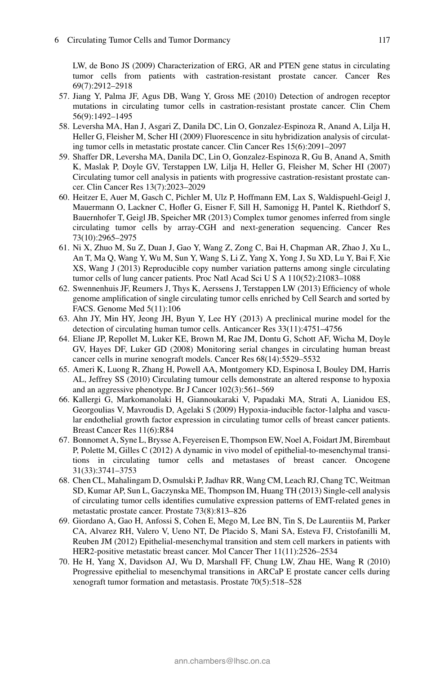LW, de Bono JS (2009) Characterization of ERG, AR and PTEN gene status in circulating tumor cells from patients with castration-resistant prostate cancer. Cancer Res 69(7):2912–2918

- 57. Jiang Y, Palma JF, Agus DB, Wang Y, Gross ME (2010) Detection of androgen receptor mutations in circulating tumor cells in castration-resistant prostate cancer. Clin Chem 56(9):1492–1495
- 58. Leversha MA, Han J, Asgari Z, Danila DC, Lin O, Gonzalez-Espinoza R, Anand A, Lilja H, Heller G, Fleisher M, Scher HI (2009) Fluorescence in situ hybridization analysis of circulating tumor cells in metastatic prostate cancer. Clin Cancer Res 15(6):2091–2097
- 59. Shaffer DR, Leversha MA, Danila DC, Lin O, Gonzalez-Espinoza R, Gu B, Anand A, Smith K, Maslak P, Doyle GV, Terstappen LW, Lilja H, Heller G, Fleisher M, Scher HI (2007) Circulating tumor cell analysis in patients with progressive castration-resistant prostate cancer. Clin Cancer Res 13(7):2023–2029
- 60. Heitzer E, Auer M, Gasch C, Pichler M, Ulz P, Hoffmann EM, Lax S, Waldispuehl-Geigl J, Mauermann O, Lackner C, Hofler G, Eisner F, Sill H, Samonigg H, Pantel K, Riethdorf S, Bauernhofer T, Geigl JB, Speicher MR (2013) Complex tumor genomes inferred from single circulating tumor cells by array-CGH and next-generation sequencing. Cancer Res 73(10):2965–2975
- 61. Ni X, Zhuo M, Su Z, Duan J, Gao Y, Wang Z, Zong C, Bai H, Chapman AR, Zhao J, Xu L, An T, Ma Q, Wang Y, Wu M, Sun Y, Wang S, Li Z, Yang X, Yong J, Su XD, Lu Y, Bai F, Xie XS, Wang J (2013) Reproducible copy number variation patterns among single circulating tumor cells of lung cancer patients. Proc Natl Acad Sci U S A 110(52):21083–1088
- 62. Swennenhuis JF, Reumers J, Thys K, Aerssens J, Terstappen LW (2013) Efficiency of whole genome amplification of single circulating tumor cells enriched by Cell Search and sorted by FACS. Genome Med 5(11):106
- 63. Ahn JY, Min HY, Jeong JH, Byun Y, Lee HY (2013) A preclinical murine model for the detection of circulating human tumor cells. Anticancer Res 33(11):4751–4756
- 64. Eliane JP, Repollet M, Luker KE, Brown M, Rae JM, Dontu G, Schott AF, Wicha M, Doyle GV, Hayes DF, Luker GD (2008) Monitoring serial changes in circulating human breast cancer cells in murine xenograft models. Cancer Res 68(14):5529–5532
- 65. Ameri K, Luong R, Zhang H, Powell AA, Montgomery KD, Espinosa I, Bouley DM, Harris AL, Jeffrey SS (2010) Circulating tumour cells demonstrate an altered response to hypoxia and an aggressive phenotype. Br J Cancer 102(3):561–569
- 66. Kallergi G, Markomanolaki H, Giannoukaraki V, Papadaki MA, Strati A, Lianidou ES, Georgoulias V, Mavroudis D, Agelaki S (2009) Hypoxia-inducible factor-1alpha and vascular endothelial growth factor expression in circulating tumor cells of breast cancer patients. Breast Cancer Res 11(6):R84
- 67. Bonnomet A, Syne L, Brysse A, Feyereisen E, Thompson EW, Noel A, Foidart JM, Birembaut P, Polette M, Gilles C (2012) A dynamic in vivo model of epithelial-to-mesenchymal transitions in circulating tumor cells and metastases of breast cancer. Oncogene 31(33):3741–3753
- 68. Chen CL, Mahalingam D, Osmulski P, Jadhav RR, Wang CM, Leach RJ, Chang TC, Weitman SD, Kumar AP, Sun L, Gaczynska ME, Thompson IM, Huang TH (2013) Single-cell analysis of circulating tumor cells identifies cumulative expression patterns of EMT-related genes in metastatic prostate cancer. Prostate 73(8):813–826
- 69. Giordano A, Gao H, Anfossi S, Cohen E, Mego M, Lee BN, Tin S, De Laurentiis M, Parker CA, Alvarez RH, Valero V, Ueno NT, De Placido S, Mani SA, Esteva FJ, Cristofanilli M, Reuben JM (2012) Epithelial-mesenchymal transition and stem cell markers in patients with HER2-positive metastatic breast cancer. Mol Cancer Ther 11(11):2526–2534
- 70. He H, Yang X, Davidson AJ, Wu D, Marshall FF, Chung LW, Zhau HE, Wang R (2010) Progressive epithelial to mesenchymal transitions in ARCaP E prostate cancer cells during xenograft tumor formation and metastasis. Prostate 70(5):518–528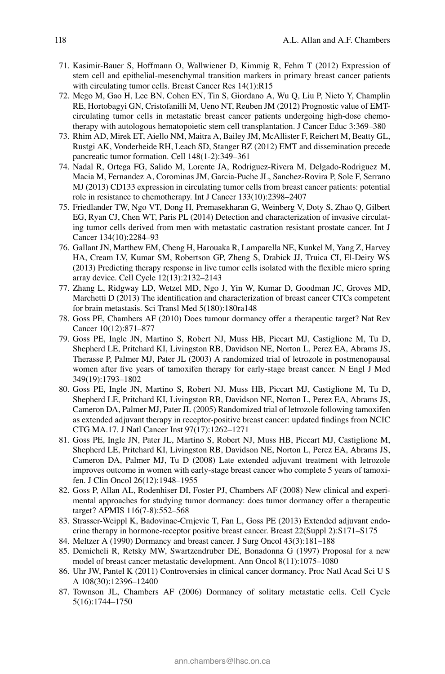- 71. Kasimir-Bauer S, Hoffmann O, Wallwiener D, Kimmig R, Fehm T (2012) Expression of stem cell and epithelial-mesenchymal transition markers in primary breast cancer patients with circulating tumor cells. Breast Cancer Res 14(1):R15
- 72. Mego M, Gao H, Lee BN, Cohen EN, Tin S, Giordano A, Wu Q, Liu P, Nieto Y, Champlin RE, Hortobagyi GN, Cristofanilli M, Ueno NT, Reuben JM (2012) Prognostic value of EMTcirculating tumor cells in metastatic breast cancer patients undergoing high-dose chemotherapy with autologous hematopoietic stem cell transplantation. J Cancer Educ 3:369–380
- 73. Rhim AD, Mirek ET, Aiello NM, Maitra A, Bailey JM, McAllister F, Reichert M, Beatty GL, Rustgi AK, Vonderheide RH, Leach SD, Stanger BZ (2012) EMT and dissemination precede pancreatic tumor formation. Cell 148(1-2):349–361
- 74. Nadal R, Ortega FG, Salido M, Lorente JA, Rodriguez-Rivera M, Delgado-Rodriguez M, Macia M, Fernandez A, Corominas JM, Garcia-Puche JL, Sanchez-Rovira P, Sole F, Serrano MJ (2013) CD133 expression in circulating tumor cells from breast cancer patients: potential role in resistance to chemotherapy. Int J Cancer 133(10):2398–2407
- 75. Friedlander TW, Ngo VT, Dong H, Premasekharan G, Weinberg V, Doty S, Zhao Q, Gilbert EG, Ryan CJ, Chen WT, Paris PL (2014) Detection and characterization of invasive circulating tumor cells derived from men with metastatic castration resistant prostate cancer. Int J Cancer 134(10):2284–93
- 76. Gallant JN, Matthew EM, Cheng H, Harouaka R, Lamparella NE, Kunkel M, Yang Z, Harvey HA, Cream LV, Kumar SM, Robertson GP, Zheng S, Drabick JJ, Truica CI, El-Deiry WS (2013) Predicting therapy response in live tumor cells isolated with the flexible micro spring array device. Cell Cycle 12(13):2132–2143
- 77. Zhang L, Ridgway LD, Wetzel MD, Ngo J, Yin W, Kumar D, Goodman JC, Groves MD, Marchetti  $D(2013)$  The identification and characterization of breast cancer CTCs competent for brain metastasis. Sci Transl Med 5(180):180ra148
- 78. Goss PE, Chambers AF (2010) Does tumour dormancy offer a therapeutic target? Nat Rev Cancer 10(12):871–877
- 79. Goss PE, Ingle JN, Martino S, Robert NJ, Muss HB, Piccart MJ, Castiglione M, Tu D, Shepherd LE, Pritchard KI, Livingston RB, Davidson NE, Norton L, Perez EA, Abrams JS, Therasse P, Palmer MJ, Pater JL (2003) A randomized trial of letrozole in postmenopausal women after five years of tamoxifen therapy for early-stage breast cancer. N Engl J Med 349(19):1793–1802
- 80. Goss PE, Ingle JN, Martino S, Robert NJ, Muss HB, Piccart MJ, Castiglione M, Tu D, Shepherd LE, Pritchard KI, Livingston RB, Davidson NE, Norton L, Perez EA, Abrams JS, Cameron DA, Palmer MJ, Pater JL (2005) Randomized trial of letrozole following tamoxifen as extended adjuvant therapy in receptor-positive breast cancer: updated findings from NCIC CTG MA.17. J Natl Cancer Inst 97(17):1262–1271
- 81. Goss PE, Ingle JN, Pater JL, Martino S, Robert NJ, Muss HB, Piccart MJ, Castiglione M, Shepherd LE, Pritchard KI, Livingston RB, Davidson NE, Norton L, Perez EA, Abrams JS, Cameron DA, Palmer MJ, Tu D (2008) Late extended adjuvant treatment with letrozole improves outcome in women with early-stage breast cancer who complete 5 years of tamoxifen. J Clin Oncol 26(12):1948–1955
- 82. Goss P, Allan AL, Rodenhiser DI, Foster PJ, Chambers AF (2008) New clinical and experimental approaches for studying tumor dormancy: does tumor dormancy offer a therapeutic target? APMIS 116(7-8):552–568
- 83. Strasser-Weippl K, Badovinac-Crnjevic T, Fan L, Goss PE (2013) Extended adjuvant endocrine therapy in hormone-receptor positive breast cancer. Breast 22(Suppl 2):S171–S175
- 84. Meltzer A (1990) Dormancy and breast cancer. J Surg Oncol 43(3):181–188
- 85. Demicheli R, Retsky MW, Swartzendruber DE, Bonadonna G (1997) Proposal for a new model of breast cancer metastatic development. Ann Oncol 8(11):1075–1080
- 86. Uhr JW, Pantel K (2011) Controversies in clinical cancer dormancy. Proc Natl Acad Sci U S A 108(30):12396–12400
- 87. Townson JL, Chambers AF (2006) Dormancy of solitary metastatic cells. Cell Cycle 5(16):1744–1750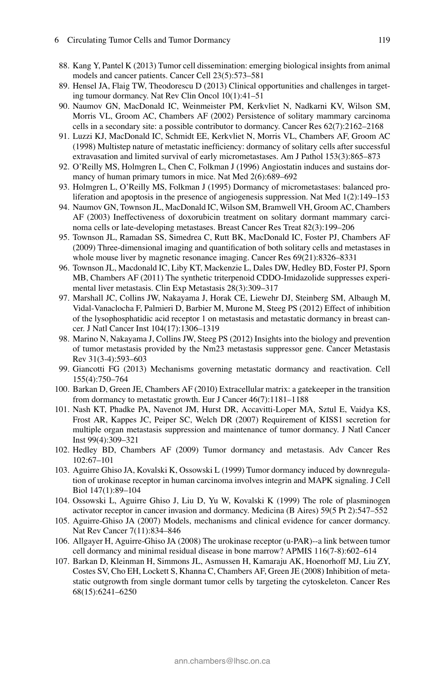- 88. Kang Y, Pantel K (2013) Tumor cell dissemination: emerging biological insights from animal models and cancer patients. Cancer Cell 23(5):573–581
- 89. Hensel JA, Flaig TW, Theodorescu D (2013) Clinical opportunities and challenges in targeting tumour dormancy. Nat Rev Clin Oncol 10(1):41–51
- 90. Naumov GN, MacDonald IC, Weinmeister PM, Kerkvliet N, Nadkarni KV, Wilson SM, Morris VL, Groom AC, Chambers AF (2002) Persistence of solitary mammary carcinoma cells in a secondary site: a possible contributor to dormancy. Cancer Res 62(7):2162–2168
- 91. Luzzi KJ, MacDonald IC, Schmidt EE, Kerkvliet N, Morris VL, Chambers AF, Groom AC (1998) Multistep nature of metastatic inefficiency: dormancy of solitary cells after successful extravasation and limited survival of early micrometastases. Am J Pathol 153(3):865–873
- 92. O'Reilly MS, Holmgren L, Chen C, Folkman J (1996) Angiostatin induces and sustains dormancy of human primary tumors in mice. Nat Med 2(6):689–692
- 93. Holmgren L, O'Reilly MS, Folkman J (1995) Dormancy of micrometastases: balanced proliferation and apoptosis in the presence of angiogenesis suppression. Nat Med 1(2):149–153
- 94. Naumov GN, Townson JL, MacDonald IC, Wilson SM, Bramwell VH, Groom AC, Chambers AF (2003) Ineffectiveness of doxorubicin treatment on solitary dormant mammary carcinoma cells or late-developing metastases. Breast Cancer Res Treat 82(3):199–206
- 95. Townson JL, Ramadan SS, Simedrea C, Rutt BK, MacDonald IC, Foster PJ, Chambers AF (2009) Three-dimensional imaging and quantification of both solitary cells and metastases in whole mouse liver by magnetic resonance imaging. Cancer Res  $69(21)$ :8326–8331
- 96. Townson JL, Macdonald IC, Liby KT, Mackenzie L, Dales DW, Hedley BD, Foster PJ, Sporn MB, Chambers AF (2011) The synthetic triterpenoid CDDO-Imidazolide suppresses experimental liver metastasis. Clin Exp Metastasis 28(3):309–317
- 97. Marshall JC, Collins JW, Nakayama J, Horak CE, Liewehr DJ, Steinberg SM, Albaugh M, Vidal-Vanaclocha F, Palmieri D, Barbier M, Murone M, Steeg PS (2012) Effect of inhibition of the lysophosphatidic acid receptor 1 on metastasis and metastatic dormancy in breast cancer. J Natl Cancer Inst 104(17):1306–1319
- 98. Marino N, Nakayama J, Collins JW, Steeg PS (2012) Insights into the biology and prevention of tumor metastasis provided by the Nm23 metastasis suppressor gene. Cancer Metastasis Rev 31(3-4):593–603
- 99. Giancotti FG (2013) Mechanisms governing metastatic dormancy and reactivation. Cell 155(4):750–764
- 100. Barkan D, Green JE, Chambers AF (2010) Extracellular matrix: a gatekeeper in the transition from dormancy to metastatic growth. Eur J Cancer 46(7):1181–1188
- 101. Nash KT, Phadke PA, Navenot JM, Hurst DR, Accavitti-Loper MA, Sztul E, Vaidya KS, Frost AR, Kappes JC, Peiper SC, Welch DR (2007) Requirement of KISS1 secretion for multiple organ metastasis suppression and maintenance of tumor dormancy. J Natl Cancer Inst 99(4):309–321
- 102. Hedley BD, Chambers AF (2009) Tumor dormancy and metastasis. Adv Cancer Res 102:67–101
- 103. Aguirre Ghiso JA, Kovalski K, Ossowski L (1999) Tumor dormancy induced by downregulation of urokinase receptor in human carcinoma involves integrin and MAPK signaling. J Cell Biol 147(1):89–104
- 104. Ossowski L, Aguirre Ghiso J, Liu D, Yu W, Kovalski K (1999) The role of plasminogen activator receptor in cancer invasion and dormancy. Medicina (B Aires) 59(5 Pt 2):547–552
- 105. Aguirre-Ghiso JA (2007) Models, mechanisms and clinical evidence for cancer dormancy. Nat Rev Cancer 7(11):834–846
- 106. Allgayer H, Aguirre-Ghiso JA (2008) The urokinase receptor (u-PAR)--a link between tumor cell dormancy and minimal residual disease in bone marrow? APMIS 116(7-8):602–614
- 107. Barkan D, Kleinman H, Simmons JL, Asmussen H, Kamaraju AK, Hoenorhoff MJ, Liu ZY, Costes SV, Cho EH, Lockett S, Khanna C, Chambers AF, Green JE (2008) Inhibition of metastatic outgrowth from single dormant tumor cells by targeting the cytoskeleton. Cancer Res 68(15):6241–6250